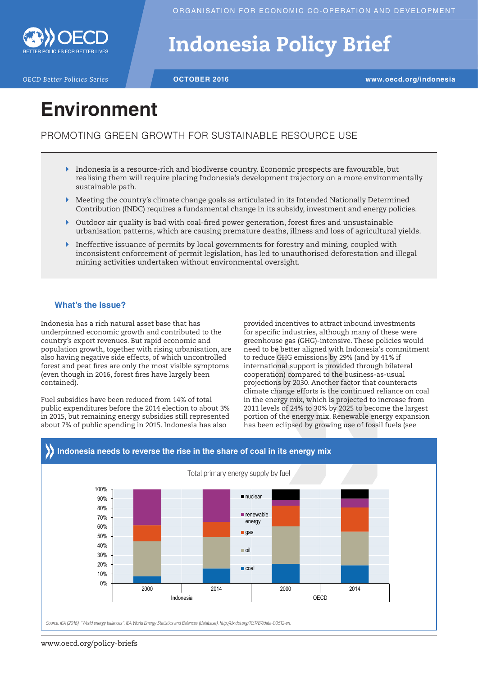

# Indonesia Policy Brief

*OECD Better Policies Series* **OCTOBER 2016 www.oecd.org/indonesia**

## **Environment**

PROMOTING GREEN GROWTH FOR SUSTAINABLE RESOURCE USE

- $\blacktriangleright$  Indonesia is a resource-rich and biodiverse country. Economic prospects are favourable, but realising them will require placing Indonesia's development trajectory on a more environmentally sustainable path.
- $\blacktriangleright$  Meeting the country's climate change goals as articulated in its Intended Nationally Determined Contribution (INDC) requires a fundamental change in its subsidy, investment and energy policies.
- ` Outdoor air quality is bad with coal-fired power generation, forest fires and unsustainable urbanisation patterns, which are causing premature deaths, illness and loss of agricultural yields.
- ` Ineffective issuance of permits by local governments for forestry and mining, coupled with inconsistent enforcement of permit legislation, has led to unauthorised deforestation and illegal mining activities undertaken without environmental oversight.

### **What's the issue?**

Indonesia has a rich natural asset base that has underpinned economic growth and contributed to the country's export revenues. But rapid economic and population growth, together with rising urbanisation, are also having negative side effects, of which uncontrolled forest and peat fires are only the most visible symptoms (even though in 2016, forest fires have largely been contained).

Fuel subsidies have been reduced from 14% of total public expenditures before the 2014 election to about 3% in 2015, but remaining energy subsidies still represented about 7% of public spending in 2015. Indonesia has also

provided incentives to attract inbound investments for specific industries, although many of these were greenhouse gas (GHG)-intensive. These policies would need to be better aligned with Indonesia's commitment to reduce GHG emissions by 29% (and by 41% if international support is provided through bilateral cooperation) compared to the business-as-usual projections by 2030. Another factor that counteracts climate change efforts is the continued reliance on coal in the energy mix, which is projected to increase from 2011 levels of 24% to 30% by 2025 to become the largest portion of the energy mix. Renewable energy expansion has been eclipsed by growing use of fossil fuels (see



## www.oecd.org/policy-briefs